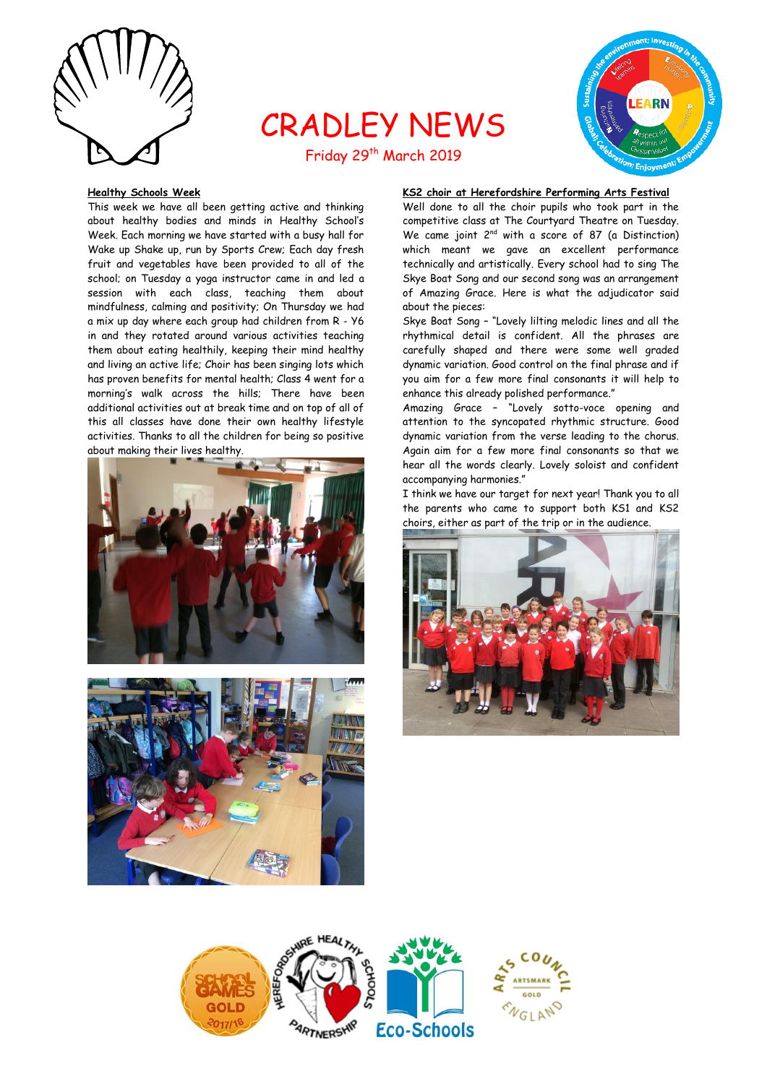

# CRADLEY NEWS Friday 29<sup>th</sup> March 2019



### **Healthy Schools Week**

This week we have all been getting active and thinking about healthy bodies and minds in Healthy School's Week. Each morning we have started with a busy hall for Wake up Shake up, run by Sports Crew; Each day fresh fruit and vegetables have been provided to all of the school; on Tuesday a yoga instructor came in and led a session with each class, teaching them about mindfulness, calming and positivity; On Thursday we had a mix up day where each group had children from R - Y6 in and they rotated around various activities teaching them about eating healthily, keeping their mind healthy and living an active life; Choir has been singing lots which has proven benefits for mental health; Class 4 went for a morning's walk across the hills; There have been additional activities out at break time and on top of all of this all classes have done their own healthy lifestyle activities. Thanks to all the children for being so positive about making their lives healthy.





# **KS2 choir at Herefordshire Performing Arts Festival**

Well done to all the choir pupils who took part in the competitive class at The Courtyard Theatre on Tuesday. We came joint 2<sup>nd</sup> with a score of 87 (a Distinction) which meant we gave an excellent performance technically and artistically. Every school had to sing The Skye Boat Song and our second song was an arrangement of Amazing Grace. Here is what the adjudicator said about the pieces:

Skye Boat Song – "Lovely lilting melodic lines and all the rhythmical detail is confident. All the phrases are carefully shaped and there were some well graded dynamic variation. Good control on the final phrase and if you aim for a few more final consonants it will help to enhance this already polished performance."

Amazing Grace – "Lovely sotto-voce opening and attention to the syncopated rhythmic structure. Good dynamic variation from the verse leading to the chorus. Again aim for a few more final consonants so that we hear all the words clearly. Lovely soloist and confident accompanying harmonies."

I think we have our target for next year! Thank you to all the parents who came to support both KS1 and KS2 choirs, either as part of the trip or in the audience.



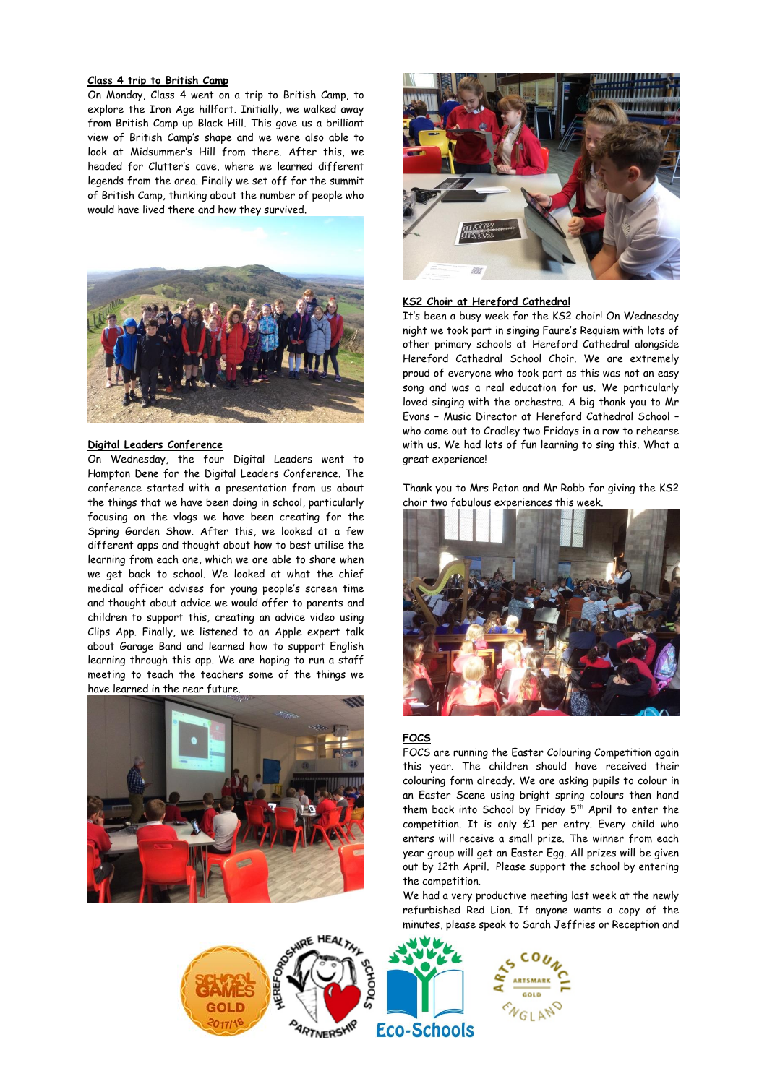### **Class 4 trip to British Camp**

On Monday, Class 4 went on a trip to British Camp, to explore the Iron Age hillfort. Initially, we walked away from British Camp up Black Hill. This gave us a brilliant view of British Camp's shape and we were also able to look at Midsummer's Hill from there. After this, we headed for Clutter's cave, where we learned different legends from the area. Finally we set off for the summit of British Camp, thinking about the number of people who would have lived there and how they survived.



# **Digital Leaders Conference**

On Wednesday, the four Digital Leaders went to Hampton Dene for the Digital Leaders Conference. The conference started with a presentation from us about the things that we have been doing in school, particularly focusing on the vlogs we have been creating for the Spring Garden Show. After this, we looked at a few different apps and thought about how to best utilise the learning from each one, which we are able to share when we get back to school. We looked at what the chief medical officer advises for young people's screen time and thought about advice we would offer to parents and children to support this, creating an advice video using Clips App. Finally, we listened to an Apple expert talk about Garage Band and learned how to support English learning through this app. We are hoping to run a staff meeting to teach the teachers some of the things we have learned in the near future.





# **KS2 Choir at Hereford Cathedral**

It's been a busy week for the KS2 choir! On Wednesday night we took part in singing Faure's Requiem with lots of other primary schools at Hereford Cathedral alongside Hereford Cathedral School Choir. We are extremely proud of everyone who took part as this was not an easy song and was a real education for us. We particularly loved singing with the orchestra. A big thank you to Mr Evans – Music Director at Hereford Cathedral School – who came out to Cradley two Fridays in a row to rehearse with us. We had lots of fun learning to sing this. What a great experience!

Thank you to Mrs Paton and Mr Robb for giving the KS2 choir two fabulous experiences this week.



### **FOCS**

FOCS are running the Easter Colouring Competition again this year. The children should have received their colouring form already. We are asking pupils to colour in an Easter Scene using bright spring colours then hand them back into School by Friday 5<sup>th</sup> April to enter the competition. It is only £1 per entry. Every child who enters will receive a small prize. The winner from each year group will get an Easter Egg. All prizes will be given out by 12th April. Please support the school by entering the competition.

We had a very productive meeting last week at the newly refurbished Red Lion. If anyone wants a copy of the minutes, please speak to Sarah Jeffries or Reception and

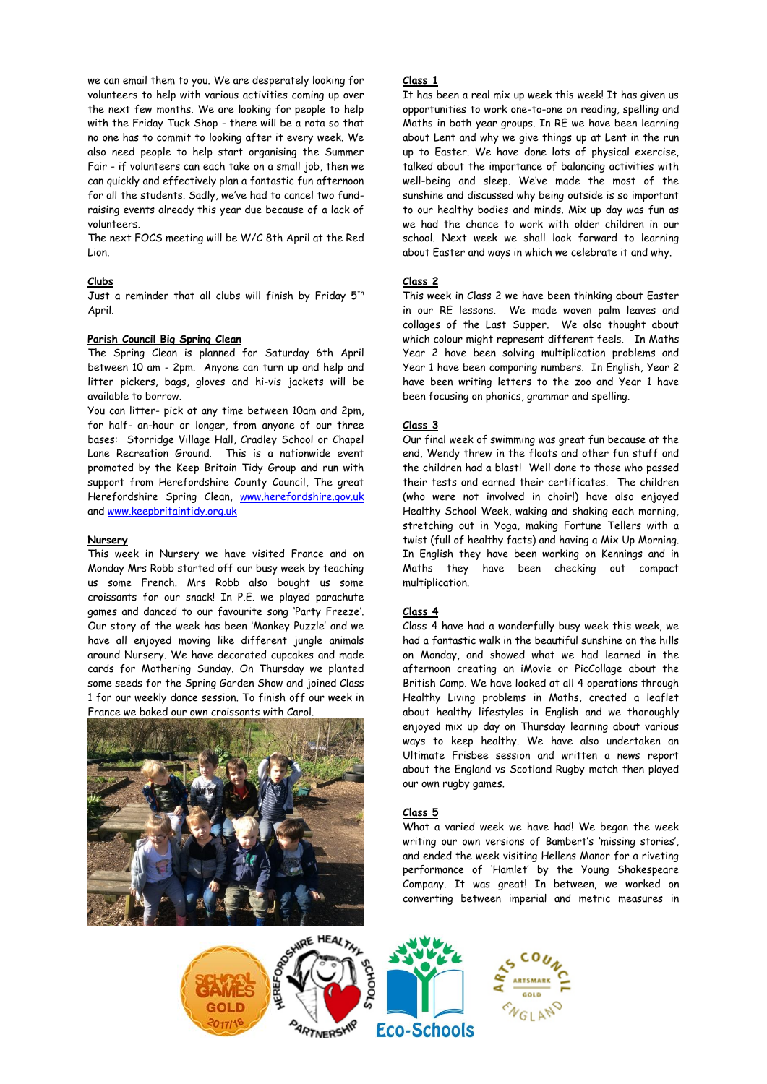we can email them to you. We are desperately looking for volunteers to help with various activities coming up over the next few months. We are looking for people to help with the Friday Tuck Shop - there will be a rota so that no one has to commit to looking after it every week. We also need people to help start organising the Summer Fair - if volunteers can each take on a small job, then we can quickly and effectively plan a fantastic fun afternoon for all the students. Sadly, we've had to cancel two fundraising events already this year due because of a lack of volunteers.

The next FOCS meeting will be W/C 8th April at the Red Lion.

# **Clubs**

Just a reminder that all clubs will finish by Friday 5<sup>th</sup> April.

# **Parish Council Big Spring Clean**

The Spring Clean is planned for Saturday 6th April between 10 am - 2pm. Anyone can turn up and help and litter pickers, bags, gloves and hi-vis jackets will be available to borrow.

You can litter- pick at any time between 10am and 2pm, for half- an-hour or longer, from anyone of our three bases: Storridge Village Hall, Cradley School or Chapel Lane Recreation Ground. This is a nationwide event promoted by the Keep Britain Tidy Group and run with support from Herefordshire County Council, The great Herefordshire Spring Clean, [www.herefordshire.gov.uk](http://www.herefordshire.gov.uk/) an[d www.keepbritaintidy.org.uk](http://www.keepbritaintidy.org.uk/)

### **Nursery**

This week in Nursery we have visited France and on Monday Mrs Robb started off our busy week by teaching us some French. Mrs Robb also bought us some croissants for our snack! In P.E. we played parachute games and danced to our favourite song 'Party Freeze'. Our story of the week has been 'Monkey Puzzle' and we have all enjoyed moving like different jungle animals around Nursery. We have decorated cupcakes and made cards for Mothering Sunday. On Thursday we planted some seeds for the Spring Garden Show and joined Class 1 for our weekly dance session. To finish off our week in France we baked our own croissants with Carol.



### **Class 1**

It has been a real mix up week this week! It has given us opportunities to work one-to-one on reading, spelling and Maths in both year groups. In RE we have been learning about Lent and why we give things up at Lent in the run up to Easter. We have done lots of physical exercise, talked about the importance of balancing activities with well-being and sleep. We've made the most of the sunshine and discussed why being outside is so important to our healthy bodies and minds. Mix up day was fun as we had the chance to work with older children in our school. Next week we shall look forward to learning about Easter and ways in which we celebrate it and why.

# **Class 2**

This week in Class 2 we have been thinking about Easter in our RE lessons. We made woven palm leaves and collages of the Last Supper. We also thought about which colour might represent different feels. In Maths Year 2 have been solving multiplication problems and Year 1 have been comparing numbers. In English, Year 2 have been writing letters to the zoo and Year 1 have been focusing on phonics, grammar and spelling.

# **Class 3**

Our final week of swimming was great fun because at the end, Wendy threw in the floats and other fun stuff and the children had a blast! Well done to those who passed their tests and earned their certificates. The children (who were not involved in choir!) have also enjoyed Healthy School Week, waking and shaking each morning, stretching out in Yoga, making Fortune Tellers with a twist (full of healthy facts) and having a Mix Up Morning. In English they have been working on Kennings and in Maths they have been checking out compact multiplication.

# **Class 4**

Class 4 have had a wonderfully busy week this week, we had a fantastic walk in the beautiful sunshine on the hills on Monday, and showed what we had learned in the afternoon creating an iMovie or PicCollage about the British Camp. We have looked at all 4 operations through Healthy Living problems in Maths, created a leaflet about healthy lifestyles in English and we thoroughly enjoyed mix up day on Thursday learning about various ways to keep healthy. We have also undertaken an Ultimate Frisbee session and written a news report about the England vs Scotland Rugby match then played our own rugby games.

### **Class 5**

What a varied week we have had! We began the week writing our own versions of Bambert's 'missing stories', and ended the week visiting Hellens Manor for a riveting performance of 'Hamlet' by the Young Shakespeare Company. It was great! In between, we worked on converting between imperial and metric measures in